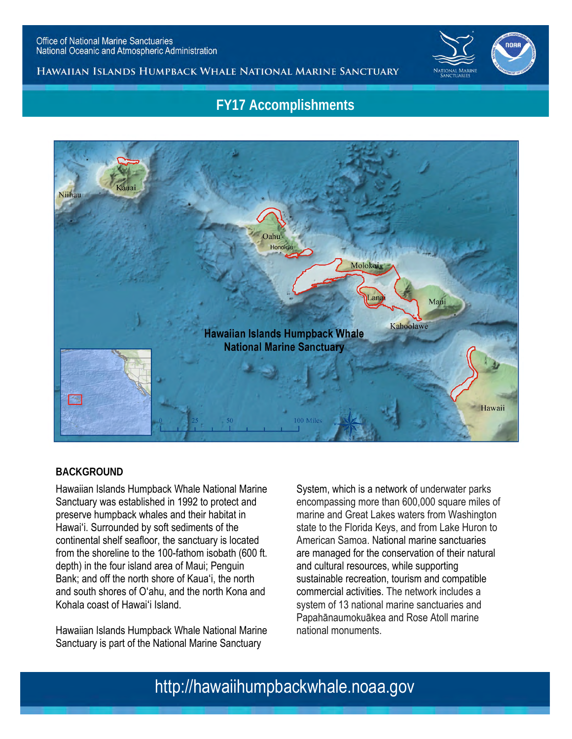

### HAWAIIAN ISLANDS HUMPBACK WHALE NATIONAL MARINE SANCTUARY

# **FY17 Accomplishments**



### **BACKGROUND**

Hawaiian Islands Humpback Whale National Marine Sanctuary was established in 1992 to protect and preserve humpback whales and their habitat in Hawaiʻi. Surrounded by soft sediments of the continental shelf seafloor, the sanctuary is located from the shoreline to the 100-fathom isobath (600 ft. depth) in the four island area of Maui; Penguin Bank; and off the north shore of Kauaʻi, the north and south shores of Oʻahu, and the north Kona and Kohala coast of Hawaiʻi Island.

Hawaiian Islands Humpback Whale National Marine Sanctuary is part of the National Marine Sanctuary

System, which is a network of underwater parks encompassing more than 600,000 square miles of marine and Great Lakes waters from Washington state to the Florida Keys, and from Lake Huron to American Samoa. National marine sanctuaries are managed for the conservation of their natural and cultural resources, while supporting sustainable recreation, tourism and compatible commercial activities. The network includes a system of 13 national marine sanctuaries and Papahānaumokuākea and Rose Atoll marine national monuments.

# http://hawaiihumpbackwhale.noaa.gov